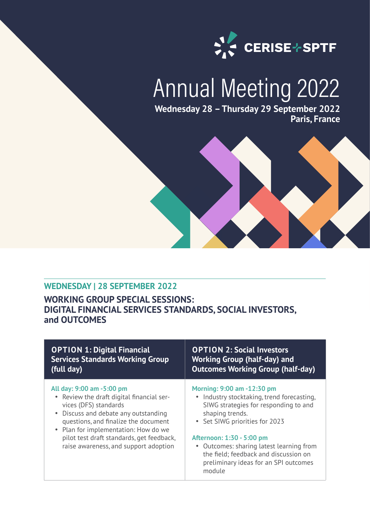

# Annual Meeting 2022

**Wednesday 28 – Thursday 29 September 2022 Paris, France**



### **WEDNESDAY | 28 SEPTEMBER 2022**

## **WORKING GROUP SPECIAL SESSIONS: DIGITAL FINANCIAL SERVICES STANDARDS, SOCIAL INVESTORS, and OUTCOMES**

| <b>OPTION 1: Digital Financial</b>                                                                                                                                                                                                                                                                            | <b>OPTION 2: Social Investors</b>                                                                                                                                                                                                                                                                                                           |
|---------------------------------------------------------------------------------------------------------------------------------------------------------------------------------------------------------------------------------------------------------------------------------------------------------------|---------------------------------------------------------------------------------------------------------------------------------------------------------------------------------------------------------------------------------------------------------------------------------------------------------------------------------------------|
| <b>Services Standards Working Group</b>                                                                                                                                                                                                                                                                       | <b>Working Group (half-day) and</b>                                                                                                                                                                                                                                                                                                         |
| (full day)                                                                                                                                                                                                                                                                                                    | <b>Outcomes Working Group (half-day)</b>                                                                                                                                                                                                                                                                                                    |
| All day: 9:00 am -5:00 pm<br>• Review the draft digital financial ser-<br>vices (DFS) standards<br>• Discuss and debate any outstanding<br>questions, and finalize the document<br>• Plan for implementation: How do we<br>pilot test draft standards, get feedback,<br>raise awareness, and support adoption | Morning: 9:00 am -12:30 pm<br>• Industry stocktaking, trend forecasting,<br>SIWG strategies for responding to and<br>shaping trends.<br>• Set SIWG priorities for 2023<br>Afternoon: 1:30 - 5:00 pm<br>• Outcomes: sharing latest learning from<br>the field; feedback and discussion on<br>preliminary ideas for an SPI outcomes<br>module |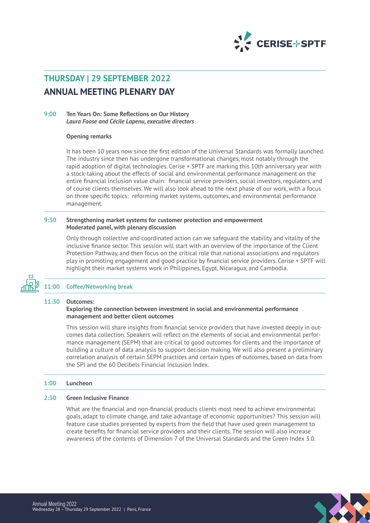

# **THURSDAY | 29 SEPTEMBER 2022 ANNUAL MEETING PLENARY DAY**

#### **9:00 Ten Years On: Some Refections on Our History** *Laura Foose and Cécile Lapenu, executive directors*

#### **Opening remarks**

It has been 10 years now since the frst edition of the Universal Standards was formally launched. The industry since then has undergone transformational changes, most notably through the rapid adoption of digital technologies. Cerise + SPTF are marking this 10th anniversary year with a stock-taking about the effects of social and environmental performance management on the entire fnancial inclusion value chain: fnancial service providers, social investors, regulators, and of course clients themselves. We will also look ahead to the next phase of our work, with a focus on three specifc topics: reforming market systems, outcomes, and environmental performance management.

#### **9:30 Strengthening market systems for customer protection and empowerment Moderated panel, with plenary discussion**

Only through collective and coordinated action can we safeguard the stability and vitality of the inclusive fnance sector. This session will start with an overview of the importance of the Client Protection Pathway, and then focus on the critical role that national associations and regulators play in promoting engagement and good practice by fnancial service providers. Cerise + SPTF will highlight their market systems work in Philippines, Egypt, Nicaragua, and Cambodia.



#### **11:00 Coffee/Networking break**

#### **11:30 Outcomes:**

#### **Exploring the connection between investment in social and environmental performance management and better client outcomes**

This session will share insights from fnancial service providers that have invested deeply in outcomes data collection. Speakers will refect on the elements of social and environmental performance management (SEPM) that are critical to good outcomes for clients and the importance of building a culture of data analysis to support decision making. We will also present a preliminary correlation analysis of certain SEPM practices and certain types of outcomes, based on data from the SPI and the 60 Decibels Financial Inclusion Index.

#### **1:00 Luncheon**

#### **2:30 Green Inclusive Finance**

What are the fnancial and non-fnancial products clients most need to achieve environmental goals, adapt to climate change, and take advantage of economic opportunities? This session will feature case studies presented by experts from the feld that have used green management to create benefts for fnancial service providers and their clients. The session will also increase awareness of the contents of Dimension 7 of the Universal Standards and the Green Index 3.0.